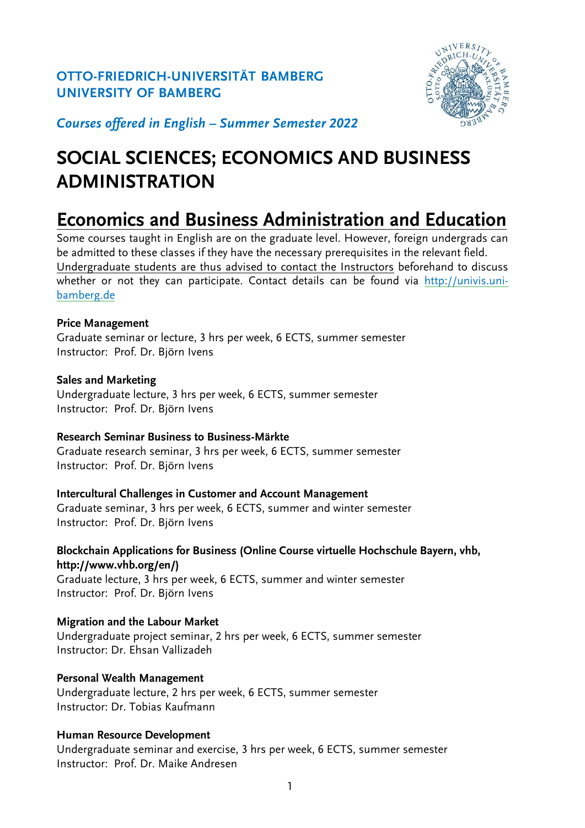# **OTTO-FRIEDRICH-UNIVERSITÄT BAMBERG UNIVERSITY OF BAMBERG**



*Courses offered in English – Summer Semester 2022*

# **SOCIAL SCIENCES; ECONOMICS AND BUSINESS ADMINISTRATION**

# **Economics and Business Administration and Education**

Some courses taught in English are on the graduate level. However, foreign undergrads can be admitted to these classes if they have the necessary prerequisites in the relevant field. Undergraduate students are thus advised to contact the Instructors beforehand to discuss whether or not they can participate. Contact details can be found via [http://univis.uni](http://univis.uni-bamberg.de/)[bamberg.de](http://univis.uni-bamberg.de/)

## **Price Management**

Graduate seminar or lecture, 3 hrs per week, 6 ECTS, summer semester Instructor: Prof. Dr. Björn Ivens

## **Sales and Marketing**

Undergraduate lecture, 3 hrs per week, 6 ECTS, summer semester Instructor: Prof. Dr. Björn Ivens

#### **Research Seminar Business to Business-Märkte**

Graduate research seminar, 3 hrs per week, 6 ECTS, summer semester Instructor: Prof. Dr. Björn Ivens

#### **Intercultural Challenges in Customer and Account Management** Graduate seminar, 3 hrs per week, 6 ECTS, summer and winter semester Instructor: Prof. Dr. Björn Ivens

**Blockchain Applications for Business (Online Course virtuelle Hochschule Bayern, vhb, http://www.vhb.org/en/)** Graduate lecture, 3 hrs per week, 6 ECTS, summer and winter semester

Instructor: Prof. Dr. Björn Ivens

# **Migration and the Labour Market**

Undergraduate project seminar, 2 hrs per week, 6 ECTS, summer semester Instructor: Dr. Ehsan Vallizadeh

# **Personal Wealth Management**

Undergraduate lecture, 2 hrs per week, 6 ECTS, summer semester Instructor: Dr. Tobias Kaufmann

# **Human Resource Development**

Undergraduate seminar and exercise, 3 hrs per week, 6 ECTS, summer semester Instructor: Prof. Dr. Maike Andresen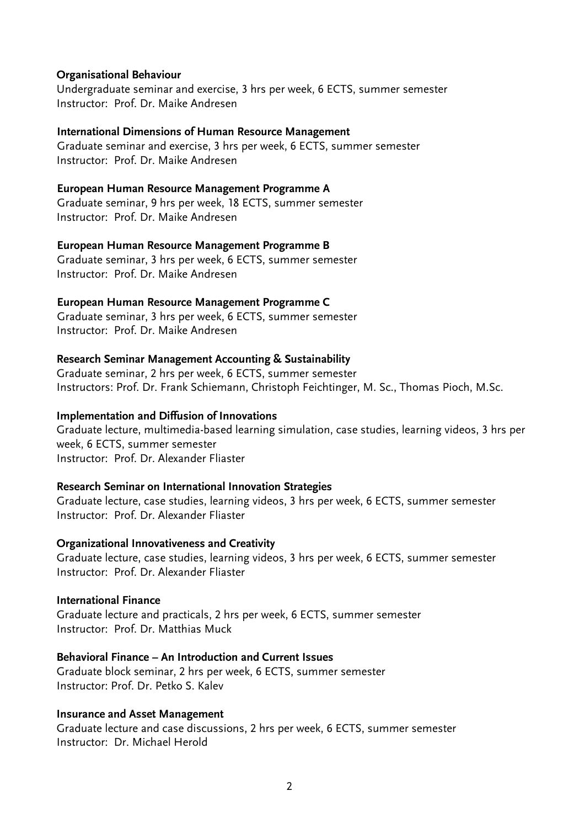#### **Organisational Behaviour**

Undergraduate seminar and exercise, 3 hrs per week, 6 ECTS, summer semester Instructor: Prof. Dr. Maike Andresen

#### **International Dimensions of Human Resource Management**

Graduate seminar and exercise, 3 hrs per week, 6 ECTS, summer semester Instructor: Prof. Dr. Maike Andresen

#### **European Human Resource Management Programme A**

Graduate seminar, 9 hrs per week, 18 ECTS, summer semester Instructor: Prof. Dr. Maike Andresen

#### **European Human Resource Management Programme B**

Graduate seminar, 3 hrs per week, 6 ECTS, summer semester Instructor: Prof. Dr. Maike Andresen

#### **European Human Resource Management Programme C**

Graduate seminar, 3 hrs per week, 6 ECTS, summer semester Instructor: Prof. Dr. Maike Andresen

#### **Research Seminar Management Accounting & Sustainability**

Graduate seminar, 2 hrs per week, 6 ECTS, summer semester Instructors: Prof. Dr. Frank Schiemann, Christoph Feichtinger, M. Sc., Thomas Pioch, M.Sc.

#### **Implementation and Diffusion of Innovations**

Graduate lecture, multimedia-based learning simulation, case studies, learning videos, 3 hrs per week, 6 ECTS, summer semester Instructor: Prof. Dr. Alexander Fliaster

#### **Research Seminar on International Innovation Strategies**

Graduate lecture, case studies, learning videos, 3 hrs per week, 6 ECTS, summer semester Instructor: Prof. Dr. Alexander Fliaster

#### **Organizational Innovativeness and Creativity**

Graduate lecture, case studies, learning videos, 3 hrs per week, 6 ECTS, summer semester Instructor: Prof. Dr. Alexander Fliaster

#### **International Finance**

Graduate lecture and practicals, 2 hrs per week, 6 ECTS, summer semester Instructor: Prof. Dr. Matthias Muck

#### **Behavioral Finance – An Introduction and Current Issues**

Graduate block seminar, 2 hrs per week, 6 ECTS, summer semester Instructor: Prof. Dr. Petko S. Kalev

#### **Insurance and Asset Management**

Graduate lecture and case discussions, 2 hrs per week, 6 ECTS, summer semester Instructor: Dr. Michael Herold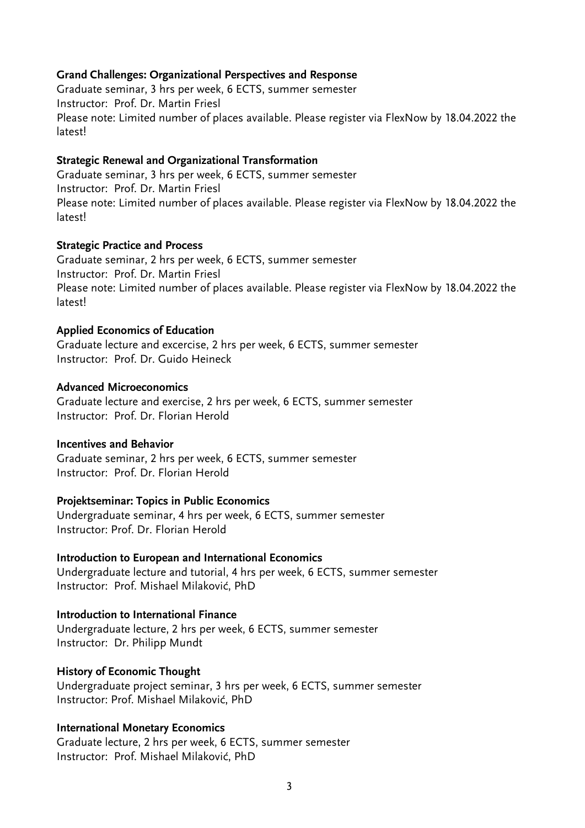#### **Grand Challenges: Organizational Perspectives and Response**

Graduate seminar, 3 hrs per week, 6 ECTS, summer semester Instructor: Prof. Dr. Martin Friesl Please note: Limited number of places available. Please register via FlexNow by 18.04.2022 the latest!

#### **Strategic Renewal and Organizational Transformation**

Graduate seminar, 3 hrs per week, 6 ECTS, summer semester Instructor: Prof. Dr. Martin Friesl Please note: Limited number of places available. Please register via FlexNow by 18.04.2022 the latest!

#### **Strategic Practice and Process**

Graduate seminar, 2 hrs per week, 6 ECTS, summer semester Instructor: Prof. Dr. Martin Friesl Please note: Limited number of places available. Please register via FlexNow by 18.04.2022 the latest!

#### **Applied Economics of Education**

Graduate lecture and excercise, 2 hrs per week, 6 ECTS, summer semester Instructor: Prof. Dr. Guido Heineck

#### **Advanced Microeconomics**

Graduate lecture and exercise, 2 hrs per week, 6 ECTS, summer semester Instructor: Prof. Dr. Florian Herold

### **Incentives and Behavior**

Graduate seminar, 2 hrs per week, 6 ECTS, summer semester Instructor: Prof. Dr. Florian Herold

#### **Projektseminar: Topics in Public Economics**

Undergraduate seminar, 4 hrs per week, 6 ECTS, summer semester Instructor: Prof. Dr. Florian Herold

#### **Introduction to European and International Economics**

Undergraduate lecture and tutorial, 4 hrs per week, 6 ECTS, summer semester Instructor: Prof. Mishael Milaković, PhD

#### **Introduction to International Finance**

Undergraduate lecture, 2 hrs per week, 6 ECTS, summer semester Instructor: Dr. Philipp Mundt

#### **History of Economic Thought**

Undergraduate project seminar, 3 hrs per week, 6 ECTS, summer semester Instructor: Prof. Mishael Milaković, PhD

#### **International Monetary Economics**

Graduate lecture, 2 hrs per week, 6 ECTS, summer semester Instructor: Prof. Mishael Milaković, PhD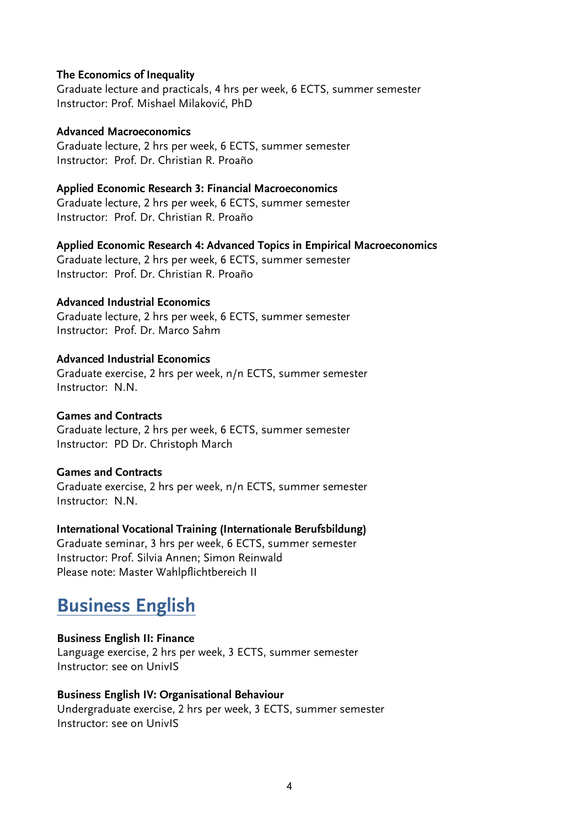#### **The Economics of Inequality**

Graduate lecture and practicals, 4 hrs per week, 6 ECTS, summer semester Instructor: Prof. Mishael Milaković, PhD

#### **Advanced Macroeconomics**

Graduate lecture, 2 hrs per week, 6 ECTS, summer semester Instructor: Prof. Dr. Christian R. Proaño

#### **Applied Economic Research 3: Financial Macroeconomics**

Graduate lecture, 2 hrs per week, 6 ECTS, summer semester Instructor: Prof. Dr. Christian R. Proaño

#### **Applied Economic Research 4: Advanced Topics in Empirical Macroeconomics**

Graduate lecture, 2 hrs per week, 6 ECTS, summer semester Instructor: Prof. Dr. Christian R. Proaño

#### **Advanced Industrial Economics**

Graduate lecture, 2 hrs per week, 6 ECTS, summer semester Instructor: Prof. Dr. Marco Sahm

#### **Advanced Industrial Economics**

Graduate exercise, 2 hrs per week, n/n ECTS, summer semester Instructor: N.N.

#### **Games and Contracts**

Graduate lecture, 2 hrs per week, 6 ECTS, summer semester Instructor: PD Dr. Christoph March

#### **Games and Contracts**

Graduate exercise, 2 hrs per week, n/n ECTS, summer semester Instructor: N.N.

#### **International Vocational Training (Internationale Berufsbildung)**

Graduate seminar, 3 hrs per week, 6 ECTS, summer semester Instructor: Prof. Silvia Annen; Simon Reinwald Please note: Master Wahlpflichtbereich II

# **Business English**

#### **Business English II: Finance**

Language exercise, 2 hrs per week, 3 ECTS, summer semester Instructor: see on UnivIS

#### **Business English IV: Organisational Behaviour**

Undergraduate exercise, 2 hrs per week, 3 ECTS, summer semester Instructor: see on UnivIS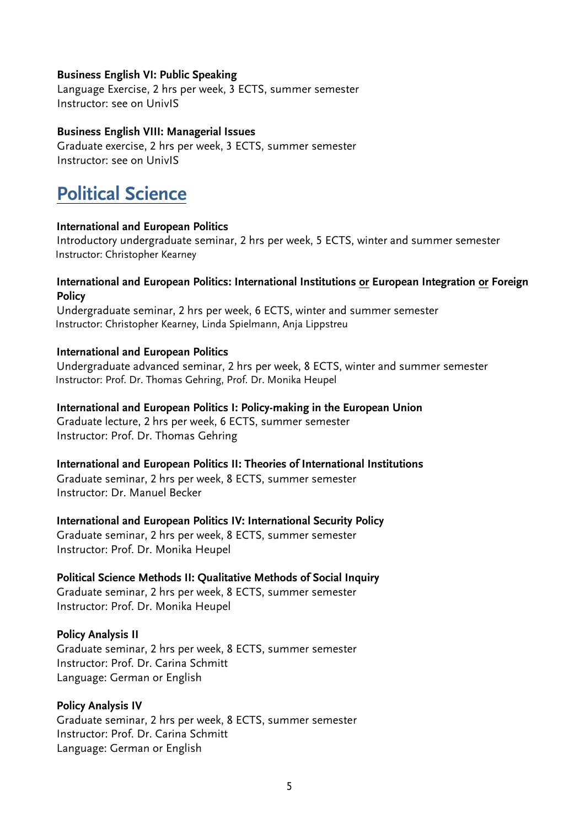#### **Business English VI: Public Speaking**

Language Exercise, 2 hrs per week, 3 ECTS, summer semester Instructor: see on UnivIS

#### **Business English VIII: Managerial Issues**

Graduate exercise, 2 hrs per week, 3 ECTS, summer semester Instructor: see on UnivIS

# **Political Science**

#### **International and European Politics**

Introductory undergraduate seminar, 2 hrs per week, 5 ECTS, winter and summer semester Instructor: Christopher Kearney

#### **International and European Politics: International Institutions or European Integration or Foreign Policy**

Undergraduate seminar, 2 hrs per week, 6 ECTS, winter and summer semester Instructor: Christopher Kearney, Linda Spielmann, Anja Lippstreu

#### **International and European Politics**

Undergraduate advanced seminar, 2 hrs per week, 8 ECTS, winter and summer semester Instructor: Prof. Dr. Thomas Gehring, Prof. Dr. Monika Heupel

#### **International and European Politics I: Policy-making in the European Union**

Graduate lecture, 2 hrs per week, 6 ECTS, summer semester Instructor: Prof. Dr. Thomas Gehring

#### **International and European Politics II: Theories of International Institutions**

Graduate seminar, 2 hrs per week, 8 ECTS, summer semester Instructor: Dr. Manuel Becker

#### **International and European Politics IV: International Security Policy**

Graduate seminar, 2 hrs per week, 8 ECTS, summer semester Instructor: Prof. Dr. Monika Heupel

# **Political Science Methods II: Qualitative Methods of Social Inquiry**

Graduate seminar, 2 hrs per week, 8 ECTS, summer semester Instructor: Prof. Dr. Monika Heupel

#### **Policy Analysis II**

Graduate seminar, 2 hrs per week, 8 ECTS, summer semester Instructor: Prof. Dr. Carina Schmitt Language: German or English

#### **Policy Analysis IV**

Graduate seminar, 2 hrs per week, 8 ECTS, summer semester Instructor: Prof. Dr. Carina Schmitt Language: German or English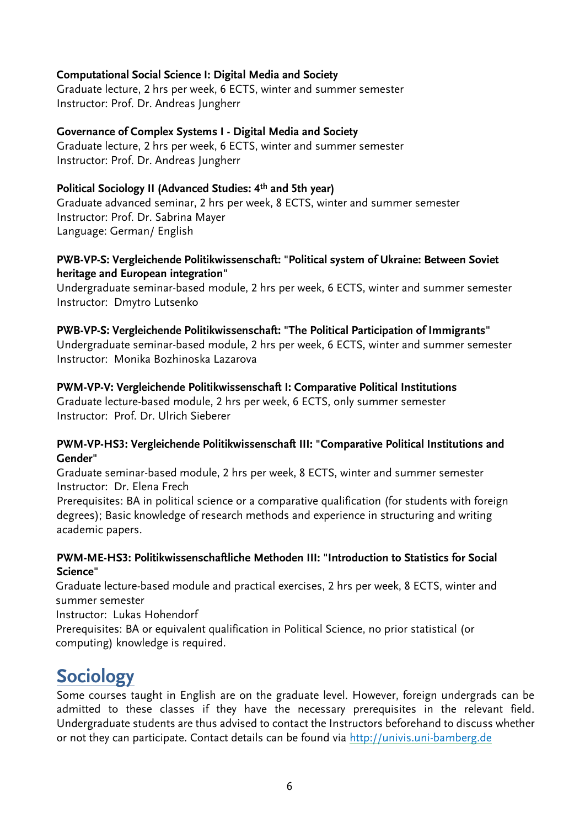## **Computational Social Science I: Digital Media and Society**

Graduate lecture, 2 hrs per week, 6 ECTS, winter and summer semester Instructor: Prof. Dr. Andreas Jungherr

## **Governance of Complex Systems I - Digital Media and Society**

Graduate lecture, 2 hrs per week, 6 ECTS, winter and summer semester Instructor: Prof. Dr. Andreas Jungherr

# **Political Sociology II (Advanced Studies: 4th and 5th year)**

Graduate advanced seminar, 2 hrs per week, 8 ECTS, winter and summer semester Instructor: Prof. Dr. Sabrina Mayer Language: German/ English

### **PWB-VP-S: Vergleichende Politikwissenschaft: "Political system of Ukraine: Between Soviet heritage and European integration"**

Undergraduate seminar-based module, 2 hrs per week, 6 ECTS, winter and summer semester Instructor: Dmytro Lutsenko

## **PWB-VP-S: Vergleichende Politikwissenschaft: "The Political Participation of Immigrants"**

Undergraduate seminar-based module, 2 hrs per week, 6 ECTS, winter and summer semester Instructor: Monika Bozhinoska Lazarova

#### **PWM-VP-V: Vergleichende Politikwissenschaft I: Comparative Political Institutions**

Graduate lecture-based module, 2 hrs per week, 6 ECTS, only summer semester Instructor: Prof. Dr. Ulrich Sieberer

#### **PWM-VP-HS3: Vergleichende Politikwissenschaft III: "Comparative Political Institutions and Gender"**

Graduate seminar-based module, 2 hrs per week, 8 ECTS, winter and summer semester Instructor: Dr. Elena Frech

Prerequisites: BA in political science or a comparative qualification (for students with foreign degrees); Basic knowledge of research methods and experience in structuring and writing academic papers.

#### **PWM-ME-HS3: Politikwissenschaftliche Methoden III: "Introduction to Statistics for Social Science"**

Graduate lecture-based module and practical exercises, 2 hrs per week, 8 ECTS, winter and summer semester

Instructor: Lukas Hohendorf

Prerequisites: BA or equivalent qualification in Political Science, no prior statistical (or computing) knowledge is required.

# **Sociology**

Some courses taught in English are on the graduate level. However, foreign undergrads can be admitted to these classes if they have the necessary prerequisites in the relevant field. Undergraduate students are thus advised to contact the Instructors beforehand to discuss whether or not they can participate. Contact details can be found via http://univis.uni-bamberg.de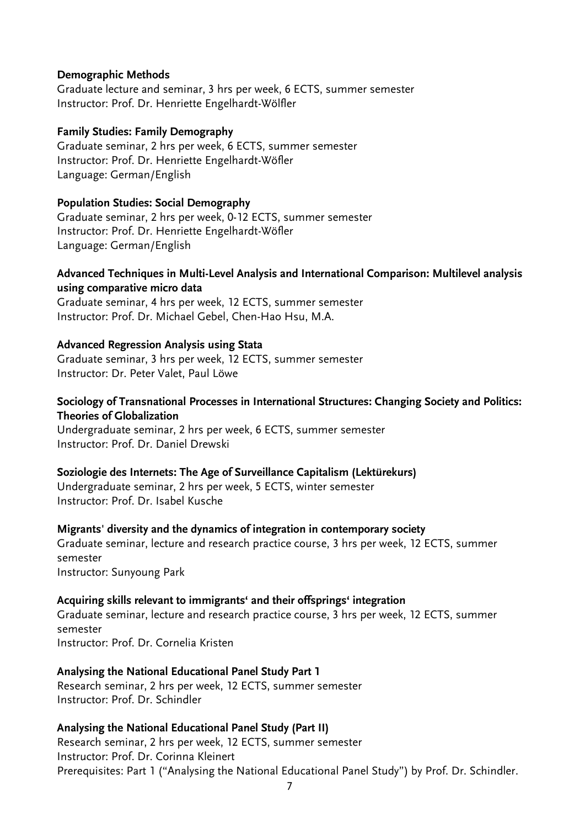#### **Demographic Methods**

Graduate lecture and seminar, 3 hrs per week, 6 ECTS, summer semester Instructor: Prof. Dr. Henriette Engelhardt-Wölfler

#### **Family Studies: Family Demography**

Graduate seminar, 2 hrs per week, 6 ECTS, summer semester Instructor: Prof. Dr. Henriette Engelhardt-Wöfler Language: German/English

#### **Population Studies: Social Demography**

Graduate seminar, 2 hrs per week, 0-12 ECTS, summer semester Instructor: Prof. Dr. Henriette Engelhardt-Wöfler Language: German/English

#### **Advanced Techniques in Multi-Level Analysis and International Comparison: Multilevel analysis using comparative micro data**

Graduate seminar, 4 hrs per week, 12 ECTS, summer semester Instructor: Prof. Dr. Michael Gebel, Chen-Hao Hsu, M.A.

#### **Advanced Regression Analysis using Stata**

Graduate seminar, 3 hrs per week, 12 ECTS, summer semester Instructor: Dr. Peter Valet, Paul Löwe

#### **Sociology of Transnational Processes in International Structures: Changing Society and Politics: Theories of Globalization**

Undergraduate seminar, 2 hrs per week, 6 ECTS, summer semester Instructor: Prof. Dr. Daniel Drewski

#### **Soziologie des Internets: The Age of Surveillance Capitalism (Lektürekurs)**

Undergraduate seminar, 2 hrs per week, 5 ECTS, winter semester Instructor: Prof. Dr. Isabel Kusche

#### **Migrants' diversity and the dynamics of integration in contemporary society**

Graduate seminar, lecture and research practice course, 3 hrs per week, 12 ECTS, summer semester Instructor: Sunyoung Park

#### **Acquiring skills relevant to immigrants' and their offsprings' integration**

Graduate seminar, lecture and research practice course, 3 hrs per week, 12 ECTS, summer semester Instructor: Prof. Dr. Cornelia Kristen

#### **Analysing the National Educational Panel Study Part 1**

Research seminar, 2 hrs per week, 12 ECTS, summer semester Instructor: Prof. Dr. Schindler

#### **Analysing the National Educational Panel Study (Part II)**

Research seminar, 2 hrs per week, 12 ECTS, summer semester Instructor: Prof. Dr. Corinna Kleinert Prerequisites: Part 1 ("Analysing the National Educational Panel Study") by Prof. Dr. Schindler.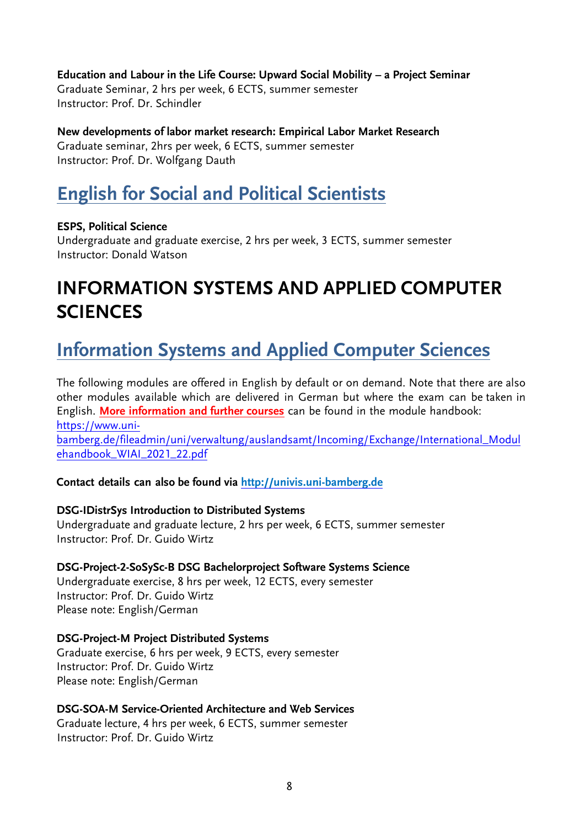**Education and Labour in the Life Course: Upward Social Mobility – a Project Seminar** Graduate Seminar, 2 hrs per week, 6 ECTS, summer semester Instructor: Prof. Dr. Schindler

**New developments of labor market research: Empirical Labor Market Research** Graduate seminar, 2hrs per week, 6 ECTS, summer semester Instructor: Prof. Dr. Wolfgang Dauth

# **English for Social and Political Scientists**

# **ESPS, Political Science**

Undergraduate and graduate exercise, 2 hrs per week, 3 ECTS, summer semester Instructor: Donald Watson

# **INFORMATION SYSTEMS AND APPLIED COMPUTER SCIENCES**

# **Information Systems and Applied Computer Sciences**

The following modules are offered in English by default or on demand. Note that there are also other modules available which are delivered in German but where the exam can be taken in English. **More information and further courses** can be found in the module handbook: [https://www.uni-](https://www.uni-bamberg.de/fileadmin/uni/verwaltung/auslandsamt/Incoming/Exchange/International_Modulehandbook_WIAI_2021_22.pdf)

[bamberg.de/fileadmin/uni/verwaltung/auslandsamt/Incoming/Exchange/International\\_Modul](https://www.uni-bamberg.de/fileadmin/uni/verwaltung/auslandsamt/Incoming/Exchange/International_Modulehandbook_WIAI_2021_22.pdf) [ehandbook\\_WIAI\\_2021\\_22.pdf](https://www.uni-bamberg.de/fileadmin/uni/verwaltung/auslandsamt/Incoming/Exchange/International_Modulehandbook_WIAI_2021_22.pdf)

**Contact details can also be found via [http://univis.uni-bamberg.de](http://univis.uni-bamberg.de/)**

# **DSG-IDistrSys Introduction to Distributed Systems**

Undergraduate and graduate lecture, 2 hrs per week, 6 ECTS, summer semester Instructor: Prof. Dr. Guido Wirtz

# **DSG-Project-2-SoSySc-B DSG Bachelorproject Software Systems Science**

Undergraduate exercise, 8 hrs per week, 12 ECTS, every semester Instructor: Prof. Dr. Guido Wirtz Please note: English/German

# **DSG-Project-M Project Distributed Systems**

Graduate exercise, 6 hrs per week, 9 ECTS, every semester Instructor: Prof. Dr. Guido Wirtz Please note: English/German

# **DSG-SOA-M Service-Oriented Architecture and Web Services**

Graduate lecture, 4 hrs per week, 6 ECTS, summer semester Instructor: Prof. Dr. Guido Wirtz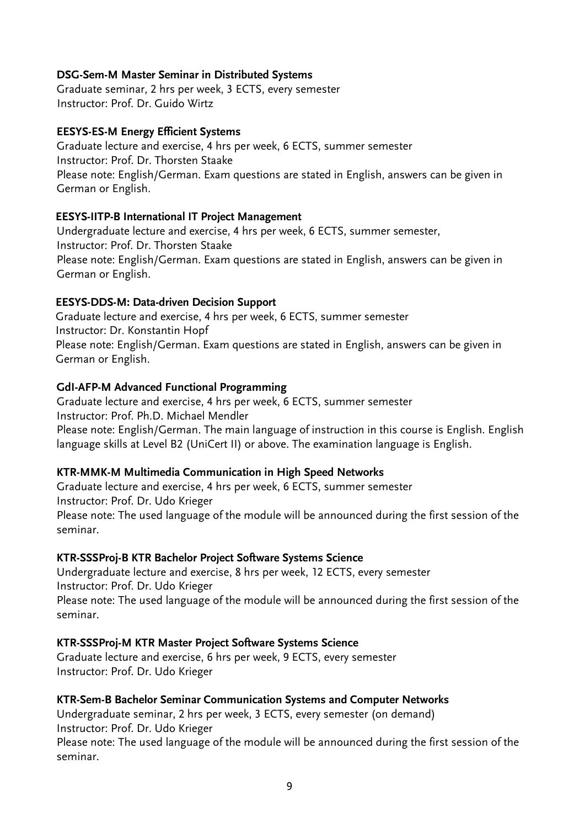#### **DSG-Sem-M Master Seminar in Distributed Systems**

Graduate seminar, 2 hrs per week, 3 ECTS, every semester Instructor: Prof. Dr. Guido Wirtz

### **EESYS-ES-M Energy Efficient Systems**

Graduate lecture and exercise, 4 hrs per week, 6 ECTS, summer semester Instructor: Prof. Dr. Thorsten Staake Please note: English/German. Exam questions are stated in English, answers can be given in German or English.

## **EESYS-IITP-B International IT Project Management**

Undergraduate lecture and exercise, 4 hrs per week, 6 ECTS, summer semester, Instructor: Prof. Dr. Thorsten Staake Please note: English/German. Exam questions are stated in English, answers can be given in German or English.

## **EESYS-DDS-M: Data-driven Decision Support**

Graduate lecture and exercise, 4 hrs per week, 6 ECTS, summer semester Instructor: Dr. Konstantin Hopf Please note: English/German. Exam questions are stated in English, answers can be given in German or English.

## **GdI-AFP-M Advanced Functional Programming**

Graduate lecture and exercise, 4 hrs per week, 6 ECTS, summer semester Instructor: Prof. Ph.D. Michael Mendler Please note: English/German. The main language of instruction in this course is English. English language skills at Level B2 (UniCert II) or above. The examination language is English.

#### **KTR-MMK-M Multimedia Communication in High Speed Networks**

Graduate lecture and exercise, 4 hrs per week, 6 ECTS, summer semester Instructor: Prof. Dr. Udo Krieger Please note: The used language of the module will be announced during the first session of the seminar.

#### **KTR-SSSProj-B KTR Bachelor Project Software Systems Science**

Undergraduate lecture and exercise, 8 hrs per week, 12 ECTS, every semester Instructor: Prof. Dr. Udo Krieger Please note: The used language of the module will be announced during the first session of the seminar.

#### **KTR-SSSProj-M KTR Master Project Software Systems Science**

Graduate lecture and exercise, 6 hrs per week, 9 ECTS, every semester Instructor: Prof. Dr. Udo Krieger

#### **KTR-Sem-B Bachelor Seminar Communication Systems and Computer Networks**

Undergraduate seminar, 2 hrs per week, 3 ECTS, every semester (on demand) Instructor: Prof. Dr. Udo Krieger

Please note: The used language of the module will be announced during the first session of the seminar.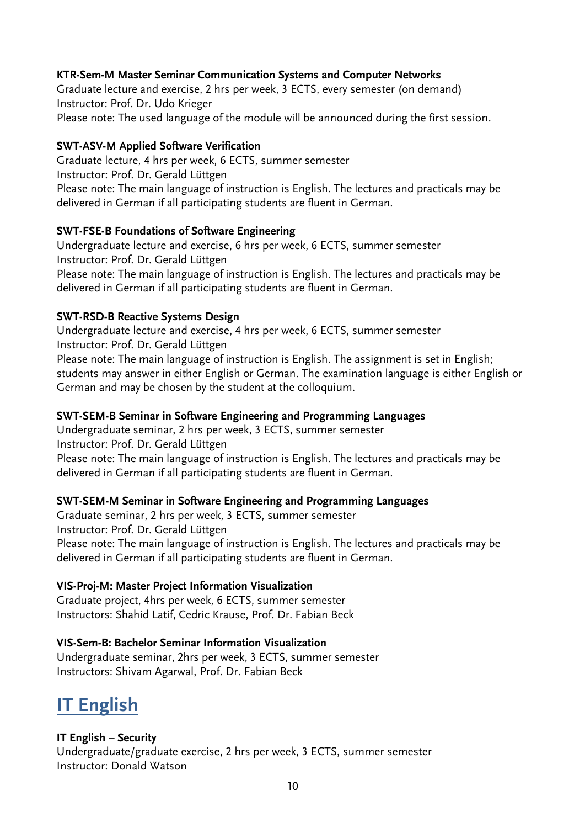# **KTR-Sem-M Master Seminar Communication Systems and Computer Networks**

Graduate lecture and exercise, 2 hrs per week, 3 ECTS, every semester (on demand) Instructor: Prof. Dr. Udo Krieger Please note: The used language of the module will be announced during the first session.

### **SWT-ASV-M Applied Software Verification**

Graduate lecture, 4 hrs per week, 6 ECTS, summer semester Instructor: Prof. Dr. Gerald Lüttgen Please note: The main language of instruction is English. The lectures and practicals may be delivered in German if all participating students are fluent in German.

## **SWT-FSE-B Foundations of Software Engineering**

Undergraduate lecture and exercise, 6 hrs per week, 6 ECTS, summer semester Instructor: Prof. Dr. Gerald Lüttgen Please note: The main language of instruction is English. The lectures and practicals may be delivered in German if all participating students are fluent in German.

## **SWT-RSD-B Reactive Systems Design**

Undergraduate lecture and exercise, 4 hrs per week, 6 ECTS, summer semester Instructor: Prof. Dr. Gerald Lüttgen Please note: The main language of instruction is English. The assignment is set in English; students may answer in either English or German. The examination language is either English or German and may be chosen by the student at the colloquium.

#### **SWT-SEM-B Seminar in Software Engineering and Programming Languages**

Undergraduate seminar, 2 hrs per week, 3 ECTS, summer semester Instructor: Prof. Dr. Gerald Lüttgen

Please note: The main language of instruction is English. The lectures and practicals may be delivered in German if all participating students are fluent in German.

# **SWT-SEM-M Seminar in Software Engineering and Programming Languages**

Graduate seminar, 2 hrs per week, 3 ECTS, summer semester Instructor: Prof. Dr. Gerald Lüttgen Please note: The main language of instruction is English. The lectures and practicals may be delivered in German if all participating students are fluent in German.

#### **VIS-Proj-M: Master Project Information Visualization**

Graduate project, 4hrs per week, 6 ECTS, summer semester Instructors: Shahid Latif, Cedric Krause, Prof. Dr. Fabian Beck

#### **VIS-Sem-B: Bachelor Seminar Information Visualization**

Undergraduate seminar, 2hrs per week, 3 ECTS, summer semester Instructors: Shivam Agarwal, Prof. Dr. Fabian Beck

# **IT English**

#### **IT English – Security**

Undergraduate/graduate exercise, 2 hrs per week, 3 ECTS, summer semester Instructor: Donald Watson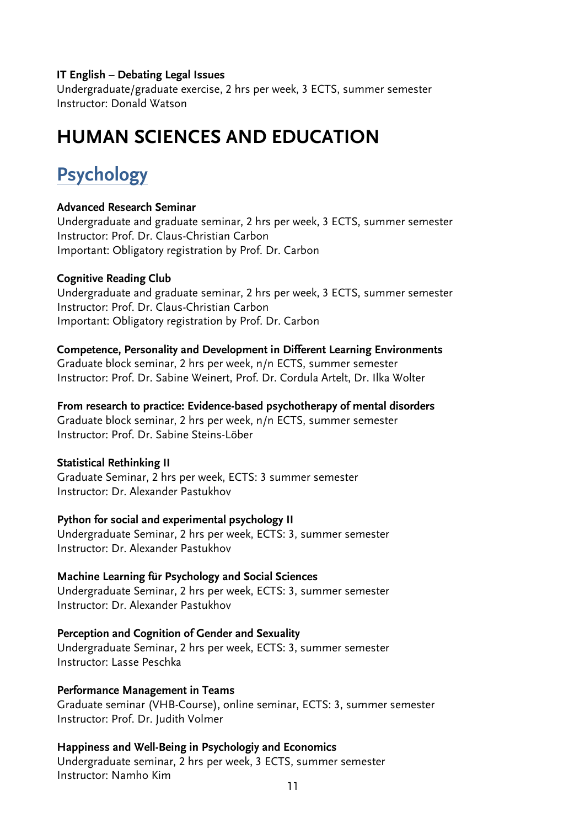#### **IT English – Debating Legal Issues**

Undergraduate/graduate exercise, 2 hrs per week, 3 ECTS, summer semester Instructor: Donald Watson

# **HUMAN SCIENCES AND EDUCATION**

# **Psychology**

#### **Advanced Research Seminar**

Undergraduate and graduate seminar, 2 hrs per week, 3 ECTS, summer semester Instructor: Prof. Dr. Claus-Christian Carbon Important: Obligatory registration by Prof. Dr. Carbon

#### **Cognitive Reading Club**

Undergraduate and graduate seminar, 2 hrs per week, 3 ECTS, summer semester Instructor: Prof. Dr. Claus-Christian Carbon Important: Obligatory registration by Prof. Dr. Carbon

#### **Competence, Personality and Development in Different Learning Environments**

Graduate block seminar, 2 hrs per week, n/n ECTS, summer semester Instructor: Prof. Dr. Sabine Weinert, Prof. Dr. Cordula Artelt, Dr. Ilka Wolter

**From research to practice: Evidence-based psychotherapy of mental disorders**

Graduate block seminar, 2 hrs per week, n/n ECTS, summer semester Instructor: Prof. Dr. Sabine Steins-Löber

#### **Statistical Rethinking II**

Graduate Seminar, 2 hrs per week, ECTS: 3 summer semester Instructor: Dr. Alexander Pastukhov

#### **Python for social and experimental psychology II**

Undergraduate Seminar, 2 hrs per week, ECTS: 3, summer semester Instructor: Dr. Alexander Pastukhov

#### **Machine Learning für Psychology and Social Sciences**

Undergraduate Seminar, 2 hrs per week, ECTS: 3, summer semester Instructor: Dr. Alexander Pastukhov

**Perception and Cognition of Gender and Sexuality** Undergraduate Seminar, 2 hrs per week, ECTS: 3, summer semester Instructor: Lasse Peschka

#### **Performance Management in Teams**

Graduate seminar (VHB-Course), online seminar, ECTS: 3, summer semester Instructor: Prof. Dr. Judith Volmer

#### **Happiness and Well-Being in Psychologiy and Economics**

Undergraduate seminar, 2 hrs per week, 3 ECTS, summer semester Instructor: Namho Kim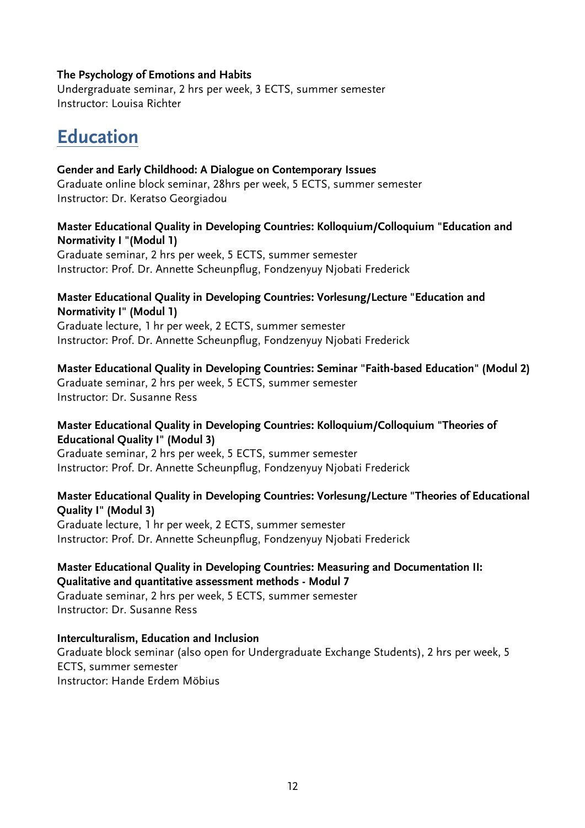#### **The Psychology of Emotions and Habits**

Undergraduate seminar, 2 hrs per week, 3 ECTS, summer semester Instructor: Louisa Richter

# **Education**

# **Gender and Early Childhood: A Dialogue on Contemporary Issues**

Graduate online block seminar, 28hrs per week, 5 ECTS, summer semester Instructor: Dr. Keratso Georgiadou

## **Master Educational Quality in Developing Countries: Kolloquium/Colloquium "Education and Normativity I "(Modul 1)**

Graduate seminar, 2 hrs per week, 5 ECTS, summer semester Instructor: Prof. Dr. Annette Scheunpflug, Fondzenyuy Njobati Frederick

### **Master Educational Quality in Developing Countries: Vorlesung/Lecture "Education and Normativity I" (Modul 1)**

Graduate lecture, 1 hr per week, 2 ECTS, summer semester Instructor: Prof. Dr. Annette Scheunpflug, Fondzenyuy Njobati Frederick

# **Master Educational Quality in Developing Countries: Seminar "Faith-based Education" (Modul 2)**

Graduate seminar, 2 hrs per week, 5 ECTS, summer semester Instructor: Dr. Susanne Ress

## **Master Educational Quality in Developing Countries: Kolloquium/Colloquium "Theories of Educational Quality I" (Modul 3)**

Graduate seminar, 2 hrs per week, 5 ECTS, summer semester Instructor: Prof. Dr. Annette Scheunpflug, Fondzenyuy Njobati Frederick

#### **Master Educational Quality in Developing Countries: Vorlesung/Lecture "Theories of Educational Quality I" (Modul 3)**

Graduate lecture, 1 hr per week, 2 ECTS, summer semester Instructor: Prof. Dr. Annette Scheunpflug, Fondzenyuy Njobati Frederick

#### **Master Educational Quality in Developing Countries: Measuring and Documentation II: Qualitative and quantitative assessment methods - Modul 7**

Graduate seminar, 2 hrs per week, 5 ECTS, summer semester Instructor: Dr. Susanne Ress

# **Interculturalism, Education and Inclusion**

Graduate block seminar (also open for Undergraduate Exchange Students), 2 hrs per week, 5 ECTS, summer semester Instructor: Hande Erdem Möbius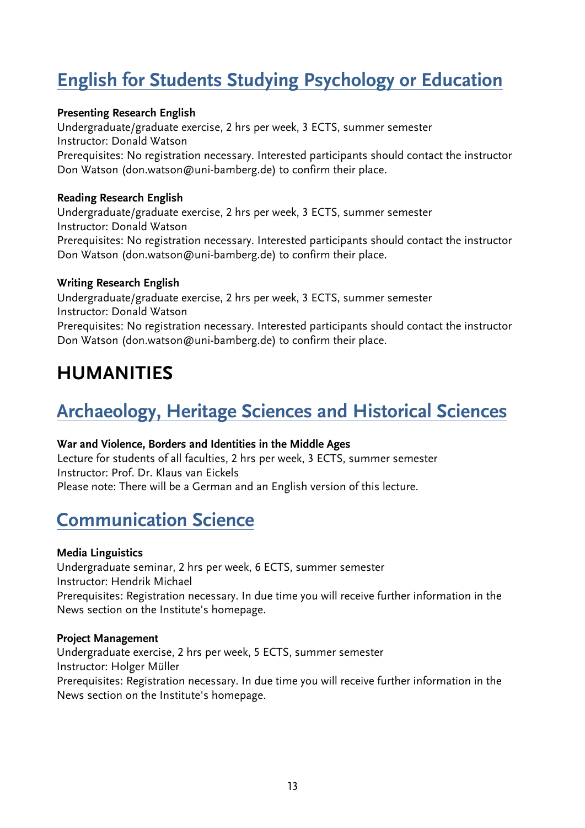# **English for Students Studying Psychology or Education**

## **Presenting Research English**

Undergraduate/graduate exercise, 2 hrs per week, 3 ECTS, summer semester Instructor: Donald Watson Prerequisites: No registration necessary. Interested participants should contact the instructor Don Watson (don.watson@uni-bamberg.de) to confirm their place.

### **Reading Research English**

Undergraduate/graduate exercise, 2 hrs per week, 3 ECTS, summer semester Instructor: Donald Watson Prerequisites: No registration necessary. Interested participants should contact the instructor Don Watson (don.watson@uni-bamberg.de) to confirm their place.

# **Writing Research English**

Undergraduate/graduate exercise, 2 hrs per week, 3 ECTS, summer semester Instructor: Donald Watson Prerequisites: No registration necessary. Interested participants should contact the instructor Don Watson (don.watson@uni-bamberg.de) to confirm their place.

# **HUMANITIES**

# **Archaeology, Heritage Sciences and Historical Sciences**

#### **War and Violence, Borders and Identities in the Middle Ages**

Lecture for students of all faculties, 2 hrs per week, 3 ECTS, summer semester Instructor: Prof. Dr. Klaus van Eickels Please note: There will be a German and an English version of this lecture.

# **Communication Science**

#### **Media Linguistics**

Undergraduate seminar, 2 hrs per week, 6 ECTS, summer semester Instructor: Hendrik Michael Prerequisites: Registration necessary. In due time you will receive further information in the News section on the Institute's homepage.

#### **Project Management**

Undergraduate exercise, 2 hrs per week, 5 ECTS, summer semester Instructor: Holger Müller Prerequisites: Registration necessary. In due time you will receive further information in the News section on the Institute's homepage.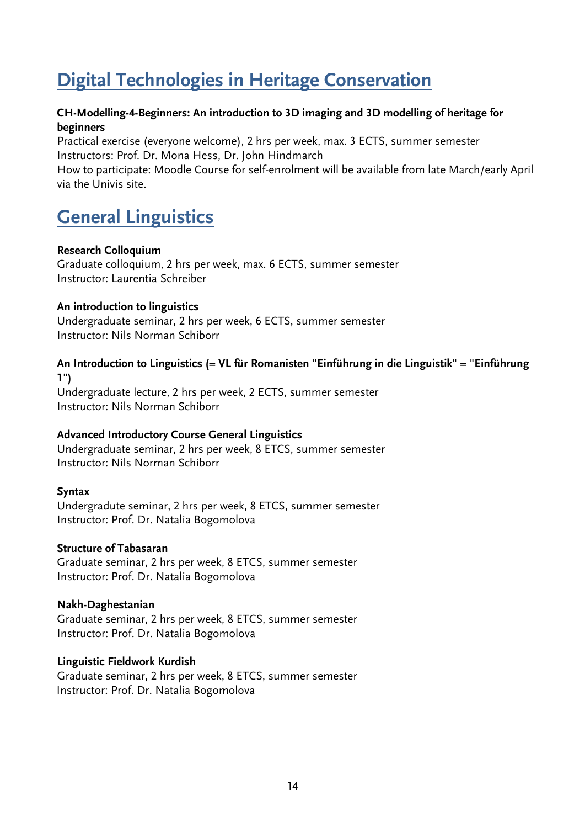# **Digital Technologies in Heritage Conservation**

## **CH-Modelling-4-Beginners: An introduction to 3D imaging and 3D modelling of heritage for beginners**

Practical exercise (everyone welcome), 2 hrs per week, max. 3 ECTS, summer semester Instructors: Prof. Dr. Mona Hess, Dr. John Hindmarch

How to participate: Moodle Course for self-enrolment will be available from late March/early April via the Univis site.

# **General Linguistics**

#### **Research Colloquium**

Graduate colloquium, 2 hrs per week, max. 6 ECTS, summer semester Instructor: Laurentia Schreiber

#### **An introduction to linguistics**

Undergraduate seminar, 2 hrs per week, 6 ECTS, summer semester Instructor: Nils Norman Schiborr

## **An Introduction to Linguistics (= VL für Romanisten "Einführung in die Linguistik" = "Einführung 1")**

Undergraduate lecture, 2 hrs per week, 2 ECTS, summer semester Instructor: Nils Norman Schiborr

#### **Advanced Introductory Course General Linguistics**

Undergraduate seminar, 2 hrs per week, 8 ETCS, summer semester Instructor: Nils Norman Schiborr

#### **Syntax**

Undergradute seminar, 2 hrs per week, 8 ETCS, summer semester Instructor: Prof. Dr. Natalia Bogomolova

#### **Structure of Tabasaran**

Graduate seminar, 2 hrs per week, 8 ETCS, summer semester Instructor: Prof. Dr. Natalia Bogomolova

#### **Nakh-Daghestanian**

Graduate seminar, 2 hrs per week, 8 ETCS, summer semester Instructor: Prof. Dr. Natalia Bogomolova

#### **Linguistic Fieldwork Kurdish**

Graduate seminar, 2 hrs per week, 8 ETCS, summer semester Instructor: Prof. Dr. Natalia Bogomolova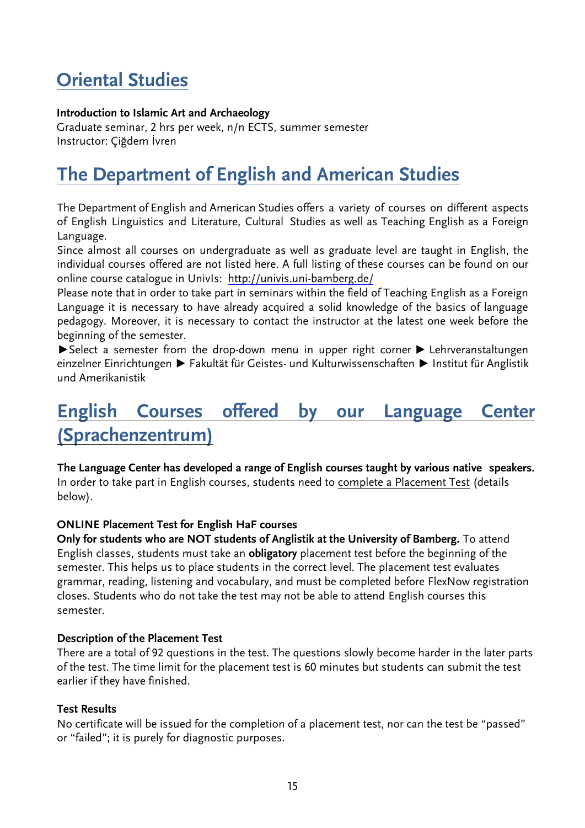# **Oriental Studies**

# **Introduction to Islamic Art and Archaeology**

Graduate seminar, 2 hrs per week, n/n ECTS, summer semester Instructor: Çiğdem İvren

# **The Department of English and American Studies**

The Department of English and American Studies offers a variety of courses on different aspects of English Linguistics and Literature, Cultural Studies as well as Teaching English as a Foreign Language.

Since almost all courses on undergraduate as well as graduate level are taught in English, the individual courses offered are not listed here. A full listing of these courses can be found on our online course catalogue in UnivIs: <http://univis.uni-bamberg.de/>

Please note that in order to take part in seminars within the field of Teaching English as a Foreign Language it is necessary to have already acquired a solid knowledge of the basics of language pedagogy. Moreover, it is necessary to contact the instructor at the latest one week before the beginning of the semester.

▶Select a semester from the drop-down menu in upper right corner ▶ Lehrveranstaltungen einzelner Einrichtungen ▶ Fakultät für Geistes- und Kulturwissenschaften ▶ Institut für Anglistik und Amerikanistik

# **English Courses offered by our Language Center (Sprachenzentrum)**

**The Language Center has developed a range of English courses taught by various native speakers.** In order to take part in English courses, students need to complete a Placement Test (details below).

#### **ONLINE Placement Test for English HaF courses**

**Only for students who are NOT students of Anglistik at the University of Bamberg.** To attend English classes, students must take an **obligatory** placement test before the beginning of the semester. This helps us to place students in the correct level. The placement test evaluates grammar, reading, listening and vocabulary, and must be completed before FlexNow registration closes. Students who do not take the test may not be able to attend English courses this semester.

#### **Description of the Placement Test**

There are a total of 92 questions in the test. The questions slowly become harder in the later parts of the test. The time limit for the placement test is 60 minutes but students can submit the test earlier if they have finished.

#### **Test Results**

No certificate will be issued for the completion of a placement test, nor can the test be "passed" or "failed"; it is purely for diagnostic purposes.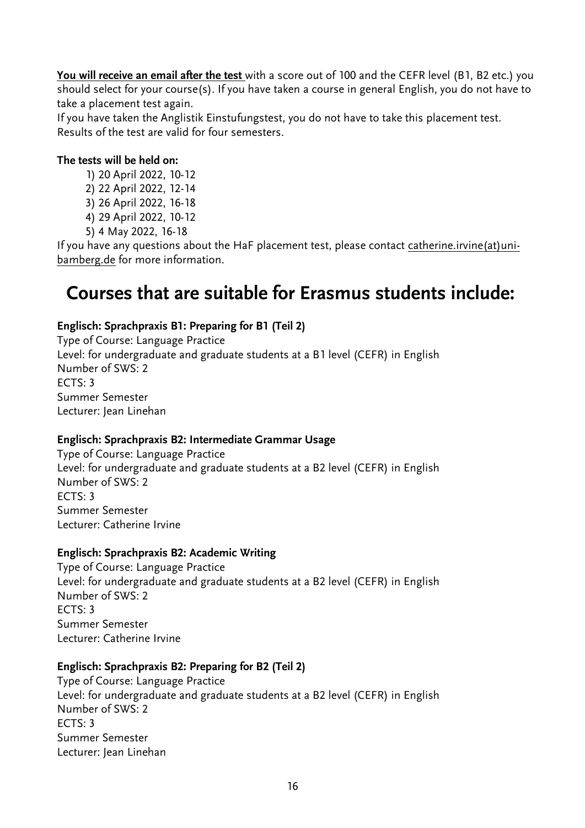**You will receive an email after the test** with a score out of 100 and the CEFR level (B1, B2 etc.) you should select for your course(s). If you have taken a course in general English, you do not have to take a placement test again.

If you have taken the Anglistik Einstufungstest, you do not have to take this placement test. Results of the test are valid for four semesters.

# **The tests will be held on:**

- 1) 20 April 2022, 10-12
- 2) 22 April 2022, 12-14
- 3) 26 April 2022, 16-18
- 4) 29 April 2022, 10-12
- 5) 4 May 2022, 16-18

If you have any questions about the HaF placement test, please contact catherine.irvine(at)unibamberg.de for more information.

# **Courses that are suitable for Erasmus students include:**

# **Englisch: Sprachpraxis B1: Preparing for B1 (Teil 2)**

Type of Course: Language Practice Level: for undergraduate and graduate students at a B1 level (CEFR) in English Number of SWS: 2 ECTS: 3 Summer Semester Lecturer: Jean Linehan

# **Englisch: Sprachpraxis B2: Intermediate Grammar Usage**

Type of Course: Language Practice Level: for undergraduate and graduate students at a B2 level (CEFR) in English Number of SWS: 2 ECTS: 3 Summer Semester Lecturer: Catherine Irvine

# **Englisch: Sprachpraxis B2: Academic Writing**

Type of Course: Language Practice Level: for undergraduate and graduate students at a B2 level (CEFR) in English Number of SWS: 2  $FCTS: 3$ Summer Semester Lecturer: Catherine Irvine

# **Englisch: Sprachpraxis B2: Preparing for B2 (Teil 2)**

Type of Course: Language Practice Level: for undergraduate and graduate students at a B2 level (CEFR) in English Number of SWS: 2 ECTS: 3 Summer Semester Lecturer: Jean Linehan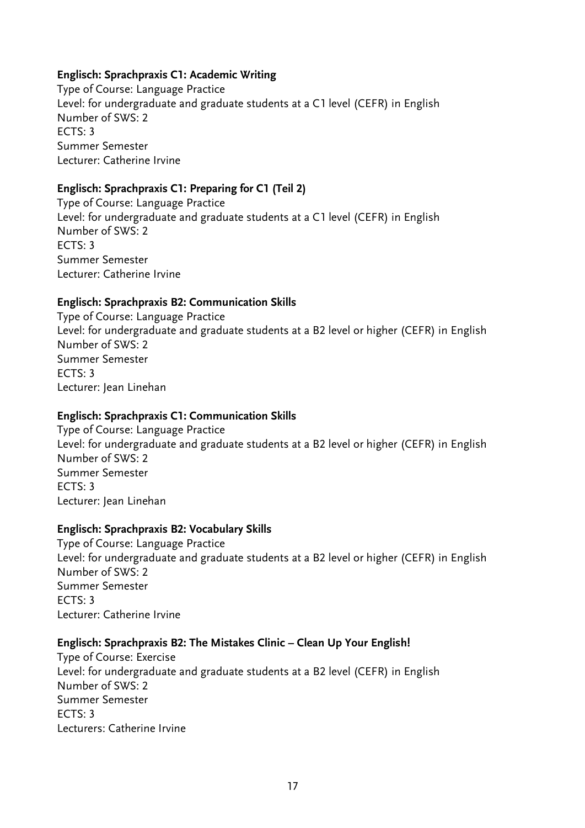# **Englisch: Sprachpraxis C1: Academic Writing**

Type of Course: Language Practice Level: for undergraduate and graduate students at a C1 level (CEFR) in English Number of SWS: 2 ECTS: 3 Summer Semester Lecturer: Catherine Irvine

# **Englisch: Sprachpraxis C1: Preparing for C1 (Teil 2)**

Type of Course: Language Practice Level: for undergraduate and graduate students at a C1 level (CEFR) in English Number of SWS: 2 ECTS: 3 Summer Semester Lecturer: Catherine Irvine

## **Englisch: Sprachpraxis B2: Communication Skills**

Type of Course: Language Practice Level: for undergraduate and graduate students at a B2 level or higher (CEFR) in English Number of SWS: 2 Summer Semester  $FCTS: 3$ Lecturer: Jean Linehan

#### **Englisch: Sprachpraxis C1: Communication Skills**

Type of Course: Language Practice Level: for undergraduate and graduate students at a B2 level or higher (CEFR) in English Number of SWS: 2 Summer Semester ECTS: 3 Lecturer: Jean Linehan

#### **Englisch: Sprachpraxis B2: Vocabulary Skills**

Type of Course: Language Practice Level: for undergraduate and graduate students at a B2 level or higher (CEFR) in English Number of SWS: 2 Summer Semester  $FCTS: 3$ Lecturer: Catherine Irvine

# **Englisch: Sprachpraxis B2: The Mistakes Clinic – Clean Up Your English!**

Type of Course: Exercise Level: for undergraduate and graduate students at a B2 level (CEFR) in English Number of SWS: 2 Summer Semester ECTS: 3 Lecturers: Catherine Irvine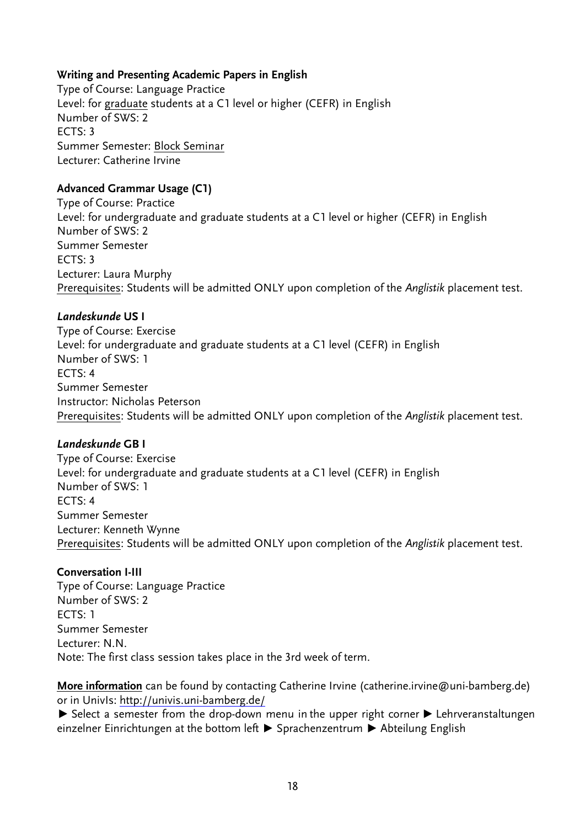# **Writing and Presenting Academic Papers in English**

Type of Course: Language Practice Level: for graduate students at a C1 level or higher (CEFR) in English Number of SWS: 2 ECTS: 3 Summer Semester: Block Seminar Lecturer: Catherine Irvine

## **Advanced Grammar Usage (C1)**

Type of Course: Practice Level: for undergraduate and graduate students at a C1 level or higher (CEFR) in English Number of SWS: 2 Summer Semester ECTS: 3 Lecturer: Laura Murphy Prerequisites: Students will be admitted ONLY upon completion of the *Anglistik* placement test.

## *Landeskunde* **US I**

Type of Course: Exercise Level: for undergraduate and graduate students at a C1 level (CEFR) in English Number of SWS: 1  $FCTS: 4$ Summer Semester Instructor: Nicholas Peterson Prerequisites: Students will be admitted ONLY upon completion of the *Anglistik* placement test.

#### *Landeskunde* **GB I**

Type of Course: Exercise Level: for undergraduate and graduate students at a C1 level (CEFR) in English Number of SWS: 1 ECTS: 4 Summer Semester Lecturer: Kenneth Wynne Prerequisites: Students will be admitted ONLY upon completion of the *Anglistik* placement test.

#### **Conversation I-III**

Type of Course: Language Practice Number of SWS: 2 ECTS: 1 Summer Semester Lecturer: N.N. Note: The first class session takes place in the 3rd week of term.

**More information** can be found by contacting Catherine Irvine (catherine.irvine@uni-bamberg.de) or in UnivIs:<http://univis.uni-bamberg.de/>

▶ Select a semester from the drop-down menu in the upper right corner ▶ Lehrveranstaltungen einzelner Einrichtungen at the bottom left ▶ Sprachenzentrum ▶ Abteilung English